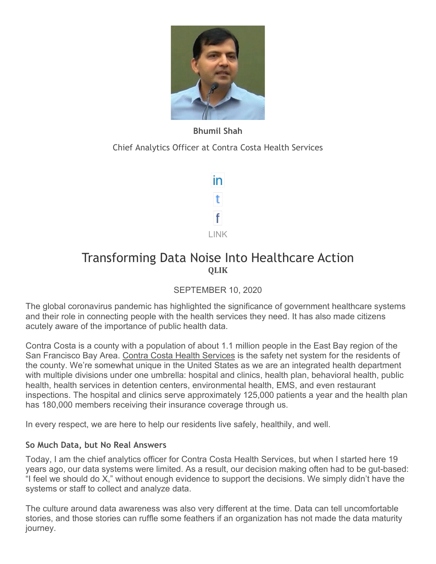

# **Bhumil Shah**

Chief Analytics Officer at Contra Costa Health Services



# Transforming Data Noise Into Healthcare Action **QLIK**

SEPTEMBER 10, 2020

The global coronavirus pandemic has highlighted the significance of government healthcare systems and their role in connecting people with the health services they need. It has also made citizens acutely aware of the importance of public health data.

Contra Costa is a county with a population of about 1.1 million people in the East Bay region of the San Francisco Bay Area. [Contra Costa Health Services](https://cchealth.org/) is the safety net system for the residents of the county. We're somewhat unique in the United States as we are an integrated health department with multiple divisions under one umbrella: hospital and clinics, health plan, behavioral health, public health, health services in detention centers, environmental health, EMS, and even restaurant inspections. The hospital and clinics serve approximately 125,000 patients a year and the health plan has 180,000 members receiving their insurance coverage through us.

In every respect, we are here to help our residents live safely, healthily, and well.

## **So Much Data, but No Real Answers**

Today, I am the chief analytics officer for Contra Costa Health Services, but when I started here 19 years ago, our data systems were limited. As a result, our decision making often had to be gut-based: "I feel we should do X," without enough evidence to support the decisions. We simply didn't have the systems or staff to collect and analyze data.

The culture around data awareness was also very different at the time. Data can tell uncomfortable stories, and those stories can ruffle some feathers if an organization has not made the data maturity journey.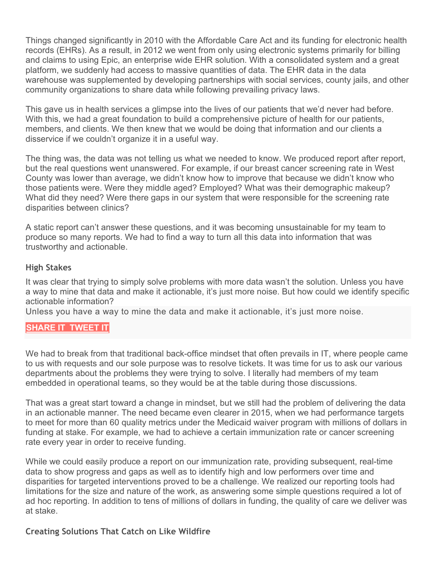Things changed significantly in 2010 with the Affordable Care Act and its funding for electronic health records (EHRs). As a result, in 2012 we went from only using electronic systems primarily for billing and claims to using Epic, an enterprise wide EHR solution. With a consolidated system and a great platform, we suddenly had access to massive quantities of data. The EHR data in the data warehouse was supplemented by developing partnerships with social services, county jails, and other community organizations to share data while following prevailing privacy laws.

This gave us in health services a glimpse into the lives of our patients that we'd never had before. With this, we had a great foundation to build a comprehensive picture of health for our patients, members, and clients. We then knew that we would be doing that information and our clients a disservice if we couldn't organize it in a useful way.

The thing was, the data was not telling us what we needed to know. We produced report after report, but the real questions went unanswered. For example, if our breast cancer screening rate in West County was lower than average, we didn't know how to improve that because we didn't know who those patients were. Were they middle aged? Employed? What was their demographic makeup? What did they need? Were there gaps in our system that were responsible for the screening rate disparities between clinics?

A static report can't answer these questions, and it was becoming unsustainable for my team to produce so many reports. We had to find a way to turn all this data into information that was trustworthy and actionable.

#### **High Stakes**

It was clear that trying to simply solve problems with more data wasn't the solution. Unless you have a way to mine that data and make it actionable, it's just more noise. But how could we identify specific actionable information?

Unless you have a way to mine the data and make it actionable, it's just more noise.

#### **[SHARE](https://linkedin.com/shareArticle?url=http%3A%2F%2Fupshotstories.com%2Fstories%2F760%3Futm_source%3Dpost%26utm_medium%3Dlinkedin1%26utm_campaign%3Dpost760&mini=true&title=Unless%20you%20have%20a%20way%20to%20mine%20the%20data%20and%20make%20it%20actionable%2C%20it%E2%80%99s%20just%20more%20noise.%20%20%20%20%20%20&summary=Transforming%20Data%20Noise%20Into%20Healthcare%20Action) IT [TWEET](https://twitter.com/intent/tweet?text=Unless%20you%20have%20a%20way%20to%20mine%20the%20data%20and%20make%20it%20actionable%2C%20it%E2%80%99s%20just%20more%20noise.%20http%3A%2F%2Fupshotstories.com%2Fstories%2F760%3Futm_source%3Dpost%26utm_medium%3Dtweet1%26utm_campaign%3Dpost760) IT**

We had to break from that traditional back-office mindset that often prevails in IT, where people came to us with requests and our sole purpose was to resolve tickets. It was time for us to ask our various departments about the problems they were trying to solve. I literally had members of my team embedded in operational teams, so they would be at the table during those discussions.

That was a great start toward a change in mindset, but we still had the problem of delivering the data in an actionable manner. The need became even clearer in 2015, when we had performance targets to meet for more than 60 quality metrics under the Medicaid waiver program with millions of dollars in funding at stake. For example, we had to achieve a certain immunization rate or cancer screening rate every year in order to receive funding.

While we could easily produce a report on our immunization rate, providing subsequent, real-time data to show progress and gaps as well as to identify high and low performers over time and disparities for targeted interventions proved to be a challenge. We realized our reporting tools had limitations for the size and nature of the work, as answering some simple questions required a lot of ad hoc reporting. In addition to tens of millions of dollars in funding, the quality of care we deliver was at stake.

#### **Creating Solutions That Catch on Like Wildfire**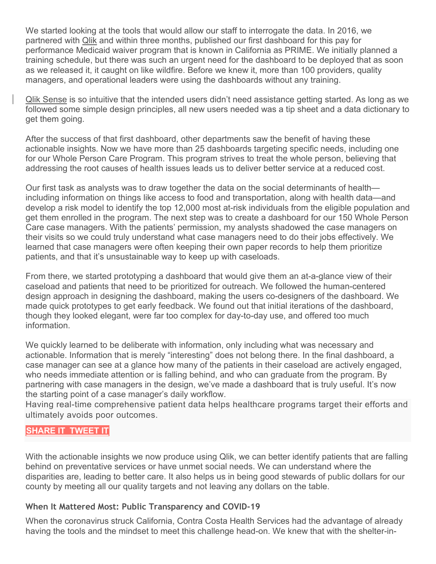We started looking at the tools that would allow our staff to interrogate the data. In 2016, we partnered with [Qlik](https://www.qlik.com/us/) and within three months, published our first dashboard for this pay for performance Medicaid waiver program that is known in California as PRIME. We initially planned a training schedule, but there was such an urgent need for the dashboard to be deployed that as soon as we released it, it caught on like wildfire. Before we knew it, more than 100 providers, quality managers, and operational leaders were using the dashboards without any training.

[Qlik Sense](https://www.qlik.com/us/products/qlik-sense) is so intuitive that the intended users didn't need assistance getting started. As long as we followed some simple design principles, all new users needed was a tip sheet and a data dictionary to get them going.

After the success of that first dashboard, other departments saw the benefit of having these actionable insights. Now we have more than 25 dashboards targeting specific needs, including one for our Whole Person Care Program. This program strives to treat the whole person, believing that addressing the root causes of health issues leads us to deliver better service at a reduced cost.

Our first task as analysts was to draw together the data on the social determinants of health including information on things like access to food and transportation, along with health data—and develop a risk model to identify the top 12,000 most at-risk individuals from the eligible population and get them enrolled in the program. The next step was to create a dashboard for our 150 Whole Person Care case managers. With the patients' permission, my analysts shadowed the case managers on their visits so we could truly understand what case managers need to do their jobs effectively. We learned that case managers were often keeping their own paper records to help them prioritize patients, and that it's unsustainable way to keep up with caseloads.

From there, we started prototyping a dashboard that would give them an at-a-glance view of their caseload and patients that need to be prioritized for outreach. We followed the human-centered design approach in designing the dashboard, making the users co-designers of the dashboard. We made quick prototypes to get early feedback. We found out that initial iterations of the dashboard, though they looked elegant, were far too complex for day-to-day use, and offered too much information.

We quickly learned to be deliberate with information, only including what was necessary and actionable. Information that is merely "interesting" does not belong there. In the final dashboard, a case manager can see at a glance how many of the patients in their caseload are actively engaged, who needs immediate attention or is falling behind, and who can graduate from the program. By partnering with case managers in the design, we've made a dashboard that is truly useful. It's now the starting point of a case manager's daily workflow.

Having real-time comprehensive patient data helps healthcare programs target their efforts and ultimately avoids poor outcomes.

#### **[SHARE](https://linkedin.com/shareArticle?url=http%3A%2F%2Fupshotstories.com%2Fstories%2F760%3Futm_source%3Dpost%26utm_medium%3Dlinkedin2%26utm_campaign%3Dpost760&mini=true&title=Having%20real-time%20comprehensive%20patient%20data%20helps%20healthcare%20programs%20target%20their%20efforts%20and%20ultimately%20avoids%20poor%20outcomes.%20%20%20%20%20%20&summary=Transforming%20Data%20Noise%20Into%20Healthcare%20Action) IT [TWEET](https://twitter.com/intent/tweet?text=Having%20real-time%20comprehensive%20patient%20data%20helps%20healthcare%20programs%20target%20their%20efforts%20and%20ultimately%20avoids%20poor%20outcomes.%20http%3A%2F%2Fupshotstories.com%2Fstories%2F760%3Futm_source%3Dpost%26utm_medium%3Dtweet2%26utm_campaign%3Dpost760) IT**

With the actionable insights we now produce using Qlik, we can better identify patients that are falling behind on preventative services or have unmet social needs. We can understand where the disparities are, leading to better care. It also helps us in being good stewards of public dollars for our county by meeting all our quality targets and not leaving any dollars on the table.

#### **When It Mattered Most: Public Transparency and COVID-19**

When the coronavirus struck California, Contra Costa Health Services had the advantage of already having the tools and the mindset to meet this challenge head-on. We knew that with the shelter-in-